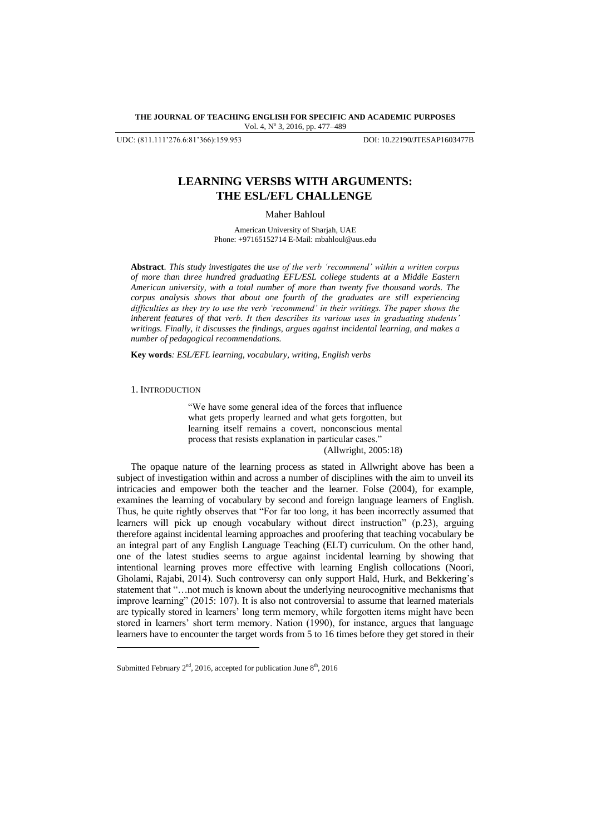### **THE JOURNAL OF TEACHING ENGLISH FOR SPECIFIC AND ACADEMIC PURPOSES** Vol. 4, Nº 3, 2016, pp. 477-489

UDC: (811.111'276.6:81'366):159.953 DOI: 10.22190/JTESAP1603477B

# **LEARNING VERSBS WITH ARGUMENTS: THE ESL/EFL CHALLENGE**

Maher Bahloul

American University of Sharjah, UAE Phone: +97165152714 E-Mail: mbahloul@aus.edu

**Abstract**. *This study investigates the use of the verb 'recommend' within a written corpus of more than three hundred graduating EFL/ESL college students at a Middle Eastern American university, with a total number of more than twenty five thousand words. The corpus analysis shows that about one fourth of the graduates are still experiencing difficulties as they try to use the verb 'recommend' in their writings. The paper shows the inherent features of that verb. It then describes its various uses in graduating students' writings. Finally, it discusses the findings, argues against incidental learning, and makes a number of pedagogical recommendations.*

**Key words***: ESL/EFL learning, vocabulary, writing, English verbs* 

#### 1. INTRODUCTION

l

"We have some general idea of the forces that influence what gets properly learned and what gets forgotten, but learning itself remains a covert, nonconscious mental process that resists explanation in particular cases."

(Allwright, 2005:18)

The opaque nature of the learning process as stated in Allwright above has been a subject of investigation within and across a number of disciplines with the aim to unveil its intricacies and empower both the teacher and the learner. Folse (2004), for example, examines the learning of vocabulary by second and foreign language learners of English. Thus, he quite rightly observes that "For far too long, it has been incorrectly assumed that learners will pick up enough vocabulary without direct instruction" (p.23), arguing therefore against incidental learning approaches and proofering that teaching vocabulary be an integral part of any English Language Teaching (ELT) curriculum. On the other hand, one of the latest studies seems to argue against incidental learning by showing that intentional learning proves more effective with learning English collocations (Noori, Gholami, Rajabi, 2014). Such controversy can only support Hald, Hurk, and Bekkering"s statement that "…not much is known about the underlying neurocognitive mechanisms that improve learning" (2015: 107). It is also not controversial to assume that learned materials are typically stored in learners" long term memory, while forgotten items might have been stored in learners' short term memory. Nation (1990), for instance, argues that language learners have to encounter the target words from 5 to 16 times before they get stored in their

Submitted February  $2<sup>nd</sup>$ , 2016, accepted for publication June  $8<sup>th</sup>$ , 2016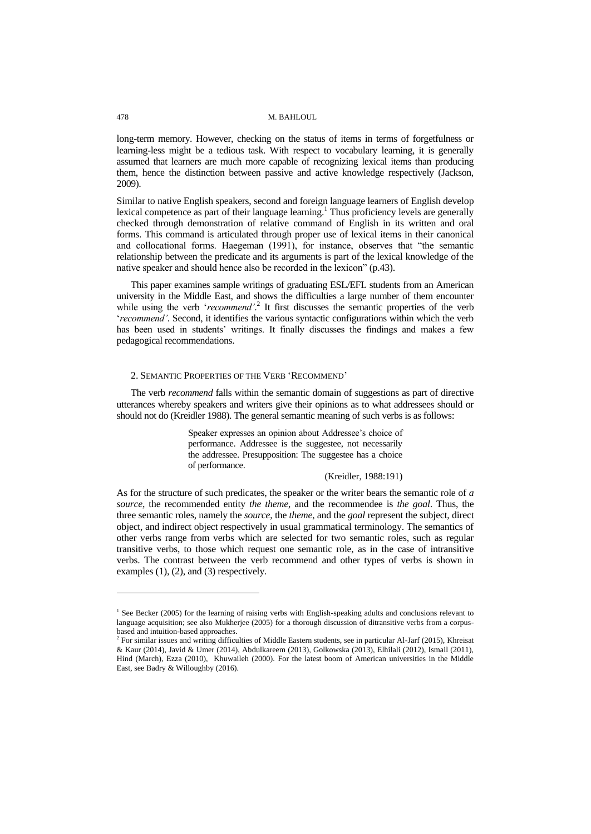long-term memory. However, checking on the status of items in terms of forgetfulness or learning-less might be a tedious task. With respect to vocabulary learning, it is generally assumed that learners are much more capable of recognizing lexical items than producing them, hence the distinction between passive and active knowledge respectively (Jackson, 2009).

Similar to native English speakers, second and foreign language learners of English develop lexical competence as part of their language learning.<sup>1</sup> Thus proficiency levels are generally checked through demonstration of relative command of English in its written and oral forms. This command is articulated through proper use of lexical items in their canonical and collocational forms. Haegeman (1991), for instance, observes that "the semantic relationship between the predicate and its arguments is part of the lexical knowledge of the native speaker and should hence also be recorded in the lexicon" (p.43).

This paper examines sample writings of graduating ESL/EFL students from an American university in the Middle East, and shows the difficulties a large number of them encounter while using the verb '*recommend*'.<sup>2</sup> It first discusses the semantic properties of the verb 'recommend'. Second, it identifies the various syntactic configurations within which the verb has been used in students' writings. It finally discusses the findings and makes a few pedagogical recommendations.

# 2. SEMANTIC PROPERTIES OF THE VERB "RECOMMEND"

The verb *recommend* falls within the semantic domain of suggestions as part of directive utterances whereby speakers and writers give their opinions as to what addressees should or should not do (Kreidler 1988). The general semantic meaning of such verbs is as follows:

> Speaker expresses an opinion about Addressee"s choice of performance. Addressee is the suggestee, not necessarily the addressee. Presupposition: The suggestee has a choice of performance.

## (Kreidler, 1988:191)

As for the structure of such predicates, the speaker or the writer bears the semantic role of *a source*, the recommended entity *the theme*, and the recommendee is *the goal*. Thus, the three semantic roles, namely the *source*, the *theme*, and the *goal* represent the subject, direct object, and indirect object respectively in usual grammatical terminology. The semantics of other verbs range from verbs which are selected for two semantic roles, such as regular transitive verbs, to those which request one semantic role, as in the case of intransitive verbs. The contrast between the verb recommend and other types of verbs is shown in examples (1), (2), and (3) respectively.

l

<sup>&</sup>lt;sup>1</sup> See Becker (2005) for the learning of raising verbs with English-speaking adults and conclusions relevant to language acquisition; see also Mukherjee (2005) for a thorough discussion of ditransitive verbs from a corpusbased and intuition-based approaches.

<sup>&</sup>lt;sup>2</sup> For similar issues and writing difficulties of Middle Eastern students, see in particular Al-Jarf (2015), Khreisat & Kaur (2014), Javid & Umer (2014), Abdulkareem (2013), Golkowska (2013), Elhilali (2012), Ismail (2011), Hind (March), Ezza (2010), Khuwaileh (2000). For the latest boom of American universities in the Middle East, see Badry & Willoughby (2016).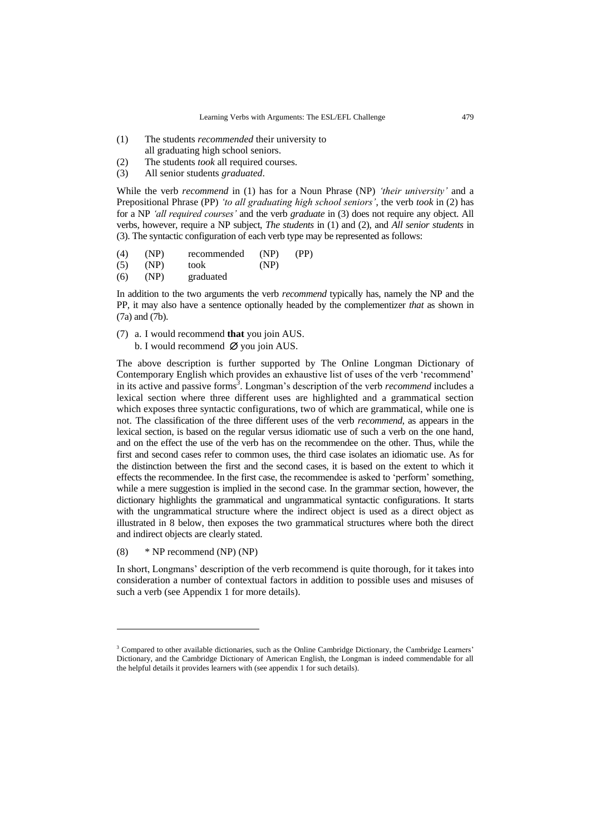- (1) The students *recommended* their university to
- all graduating high school seniors.
- (2) The students *took* all required courses.
- (3) All senior students *graduated*.

While the verb *recommend* in (1) has for a Noun Phrase (NP) *'their university'* and a Prepositional Phrase (PP) *'to all graduating high school seniors'*, the verb *took* in (2) has for a NP *'all required courses'* and the verb *graduate* in (3) does not require any object. All verbs, however, require a NP subject, *The students* in (1) and (2), and *All senior students* in (3). The syntactic configuration of each verb type may be represented as follows:

- (4) (NP) recommended (NP) (PP) (5) (NP) took (NP)
- (6) (NP) graduated

In addition to the two arguments the verb *recommend* typically has, namely the NP and the PP, it may also have a sentence optionally headed by the complementizer *that* as shown in (7a) and (7b).

- (7) a. I would recommend **that** you join AUS.
	- b. I would recommend  $\emptyset$  you join AUS.

The above description is further supported by The Online Longman Dictionary of Contemporary English which provides an exhaustive list of uses of the verb "recommend" in its active and passive forms*<sup>3</sup>* . Longman"s description of the verb *recommend* includes a lexical section where three different uses are highlighted and a grammatical section which exposes three syntactic configurations, two of which are grammatical, while one is not. The classification of the three different uses of the verb *recommend*, as appears in the lexical section, is based on the regular versus idiomatic use of such a verb on the one hand, and on the effect the use of the verb has on the recommendee on the other. Thus, while the first and second cases refer to common uses, the third case isolates an idiomatic use. As for the distinction between the first and the second cases, it is based on the extent to which it effects the recommendee. In the first case, the recommendee is asked to "perform" something, while a mere suggestion is implied in the second case. In the grammar section, however, the dictionary highlights the grammatical and ungrammatical syntactic configurations. It starts with the ungrammatical structure where the indirect object is used as a direct object as illustrated in 8 below, then exposes the two grammatical structures where both the direct and indirect objects are clearly stated.

(8) \* NP recommend (NP) (NP)

l

In short, Longmans" description of the verb recommend is quite thorough, for it takes into consideration a number of contextual factors in addition to possible uses and misuses of such a verb (see Appendix 1 for more details).

<sup>&</sup>lt;sup>3</sup> Compared to other available dictionaries, such as the Online Cambridge Dictionary, the Cambridge Learners' Dictionary, and the Cambridge Dictionary of American English, the Longman is indeed commendable for all the helpful details it provides learners with (see appendix 1 for such details).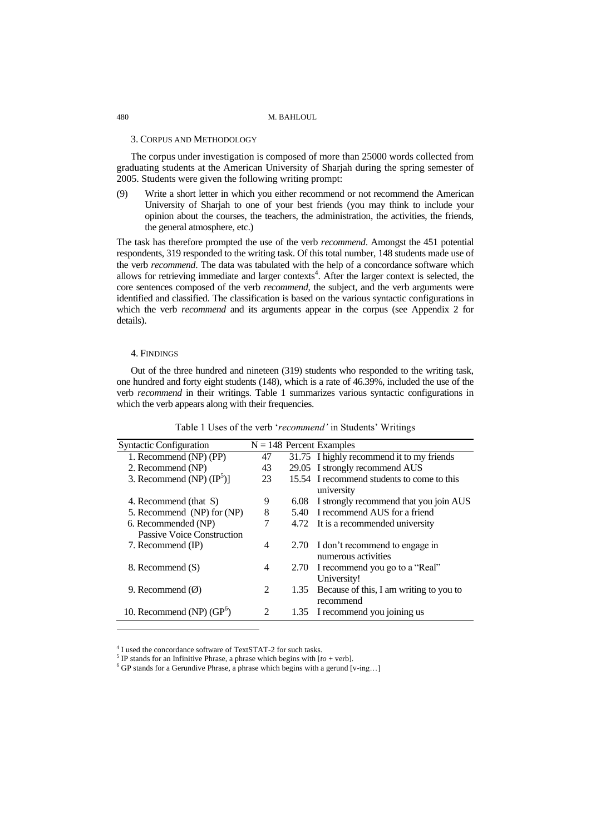# 3. CORPUS AND METHODOLOGY

The corpus under investigation is composed of more than 25000 words collected from graduating students at the American University of Sharjah during the spring semester of 2005. Students were given the following writing prompt:

(9) Write a short letter in which you either recommend or not recommend the American University of Sharjah to one of your best friends (you may think to include your opinion about the courses, the teachers, the administration, the activities, the friends, the general atmosphere, etc.)

The task has therefore prompted the use of the verb *recommend*. Amongst the 451 potential respondents, 319 responded to the writing task. Of this total number, 148 students made use of the verb *recommend*. The data was tabulated with the help of a concordance software which allows for retrieving immediate and larger contexts<sup>4</sup>. After the larger context is selected, the core sentences composed of the verb *recommend*, the subject, and the verb arguments were identified and classified. The classification is based on the various syntactic configurations in which the verb *recommend* and its arguments appear in the corpus (see Appendix 2 for details).

# 4. FINDINGS

l

Out of the three hundred and nineteen (319) students who responded to the writing task, one hundred and forty eight students (148), which is a rate of 46.39%, included the use of the verb *recommend* in their writings. Table 1 summarizes various syntactic configurations in which the verb appears along with their frequencies.

| <b>Syntactic Configuration</b>      |    |      | $N = 148$ Percent Examples                 |
|-------------------------------------|----|------|--------------------------------------------|
| 1. Recommend (NP) (PP)              | 47 |      | 31.75 I highly recommend it to my friends  |
| 2. Recommend (NP)                   | 43 |      | 29.05 I strongly recommend AUS             |
| 3. Recommend (NP) $(\text{IP}^5)$ ] | 23 |      | 15.54 I recommend students to come to this |
|                                     |    |      | university                                 |
| 4. Recommend (that S)               | 9  | 6.08 | I strongly recommend that you join AUS     |
| 5. Recommend (NP) for (NP)          | 8  | 5.40 | I recommend AUS for a friend               |
| 6. Recommended (NP)                 | 7  |      | 4.72 It is a recommended university        |
| Passive Voice Construction          |    |      |                                            |
| 7. Recommend (IP)                   | 4  |      | 2.70 I don't recommend to engage in        |
|                                     |    |      | numerous activities                        |
| 8. Recommend (S)                    | 4  |      | 2.70 I recommend you go to a "Real"        |
|                                     |    |      | University!                                |
| 9. Recommend $(\emptyset)$          | 2  | 1.35 | Because of this, I am writing to you to    |
|                                     |    |      | recommend                                  |
| 10. Recommend (NP) $(GP^6)$         |    |      | 1.35 I recommend you joining us            |

Table 1 Uses of the verb 'recommend' in Students' Writings

4 I used the concordance software of TextSTAT-2 for such tasks.

<sup>&</sup>lt;sup>5</sup> IP stands for an Infinitive Phrase, a phrase which begins with  $[to + verb]$ .

 $6$  GP stands for a Gerundive Phrase, a phrase which begins with a gerund [v-ing...]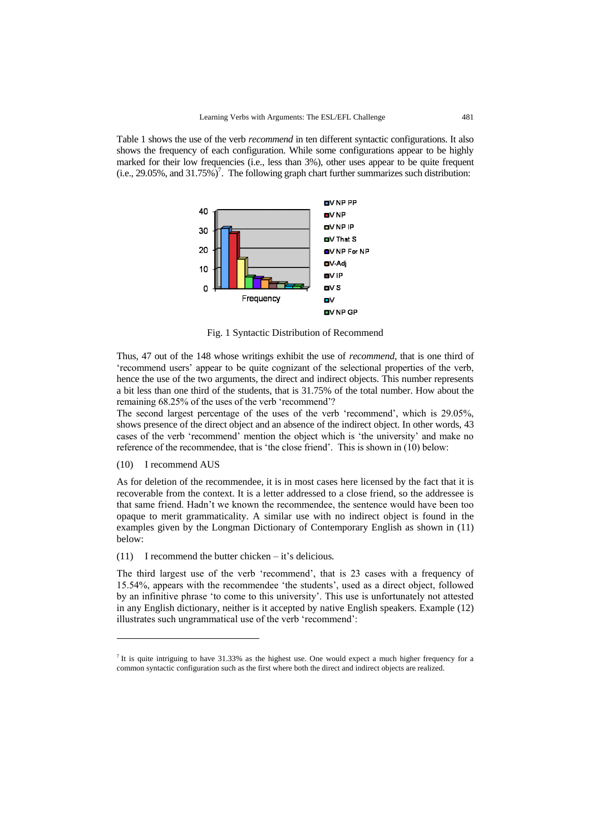Table 1 shows the use of the verb *recommend* in ten different syntactic configurations. It also shows the frequency of each configuration. While some configurations appear to be highly marked for their low frequencies (i.e., less than 3%), other uses appear to be quite frequent  $(i.e., 29.05\%, and 31.75\%)^7$ . The following graph chart further summarizes such distribution:



Fig. 1 Syntactic Distribution of Recommend

Thus, 47 out of the 148 whose writings exhibit the use of *recommend*, that is one third of "recommend users" appear to be quite cognizant of the selectional properties of the verb, hence the use of the two arguments, the direct and indirect objects. This number represents a bit less than one third of the students, that is 31.75% of the total number. How about the remaining 68.25% of the uses of the verb 'recommend'?

The second largest percentage of the uses of the verb "recommend", which is 29.05%, shows presence of the direct object and an absence of the indirect object. In other words, 43 cases of the verb "recommend" mention the object which is "the university" and make no reference of the recommendee, that is "the close friend". This is shown in (10) below:

# (10) I recommend AUS

l

As for deletion of the recommendee, it is in most cases here licensed by the fact that it is recoverable from the context. It is a letter addressed to a close friend, so the addressee is that same friend. Hadn"t we known the recommendee, the sentence would have been too opaque to merit grammaticality. A similar use with no indirect object is found in the examples given by the Longman Dictionary of Contemporary English as shown in (11) below:

(11) I recommend the butter chicken – it"s delicious*.*

The third largest use of the verb "recommend", that is 23 cases with a frequency of 15.54%, appears with the recommendee "the students", used as a direct object, followed by an infinitive phrase "to come to this university". This use is unfortunately not attested in any English dictionary, neither is it accepted by native English speakers. Example (12) illustrates such ungrammatical use of the verb 'recommend':

It is quite intriguing to have 31.33% as the highest use. One would expect a much higher frequency for a common syntactic configuration such as the first where both the direct and indirect objects are realized.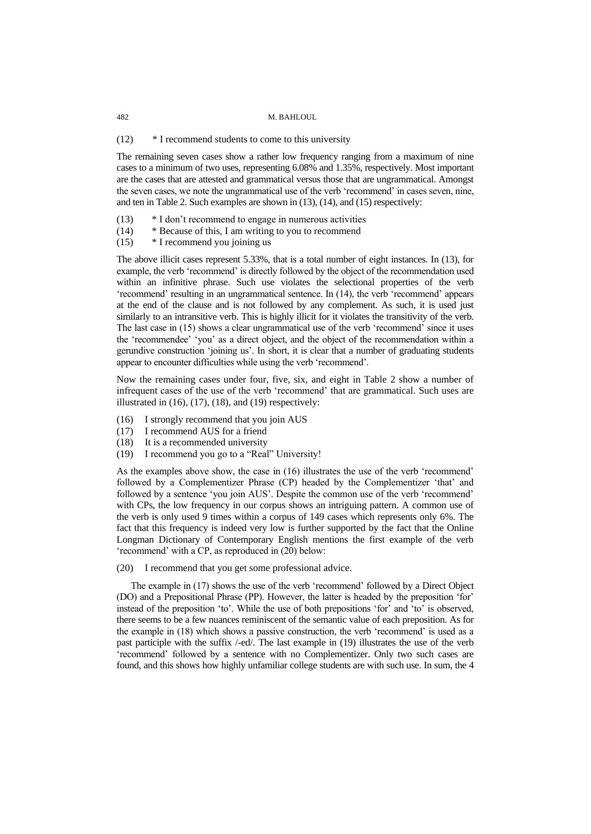# (12) \* I recommend students to come to this university

The remaining seven cases show a rather low frequency ranging from a maximum of nine cases to a minimum of two uses, representing 6.08% and 1.35%, respectively. Most important are the cases that are attested and grammatical versus those that are ungrammatical. Amongst the seven cases, we note the ungrammatical use of the verb 'recommend' in cases seven, nine, and ten in Table 2. Such examples are shown in (13), (14), and (15) respectively:

- (13) \* I don"t recommend to engage in numerous activities
- (14) \* Because of this, I am writing to you to recommend
- (15) \* I recommend you joining us

The above illicit cases represent 5.33%, that is a total number of eight instances. In (13), for example, the verb "recommend" is directly followed by the object of the recommendation used within an infinitive phrase. Such use violates the selectional properties of the verb 'recommend' resulting in an ungrammatical sentence. In (14), the verb 'recommend' appears at the end of the clause and is not followed by any complement. As such, it is used just similarly to an intransitive verb. This is highly illicit for it violates the transitivity of the verb. The last case in (15) shows a clear ungrammatical use of the verb "recommend" since it uses the "recommendee" "you" as a direct object, and the object of the recommendation within a gerundive construction "joining us". In short, it is clear that a number of graduating students appear to encounter difficulties while using the verb "recommend".

Now the remaining cases under four, five, six, and eight in Table 2 show a number of infrequent cases of the use of the verb "recommend" that are grammatical. Such uses are illustrated in  $(16)$ ,  $(17)$ ,  $(18)$ , and  $(19)$  respectively:

- (16) I strongly recommend that you join AUS
- (17) I recommend AUS for a friend
- (18) It is a recommended university
- (19) I recommend you go to a "Real" University!

As the examples above show, the case in (16) illustrates the use of the verb 'recommend' followed by a Complementizer Phrase (CP) headed by the Complementizer 'that' and followed by a sentence 'you join AUS'. Despite the common use of the verb 'recommend' with CPs, the low frequency in our corpus shows an intriguing pattern. A common use of the verb is only used 9 times within a corpus of 149 cases which represents only 6%. The fact that this frequency is indeed very low is further supported by the fact that the Online Longman Dictionary of Contemporary English mentions the first example of the verb 'recommend' with a CP, as reproduced in (20) below:

(20) I recommend that you get some professional advice.

The example in (17) shows the use of the verb "recommend" followed by a Direct Object (DO) and a Prepositional Phrase (PP). However, the latter is headed by the preposition "for" instead of the preposition "to". While the use of both prepositions "for" and "to" is observed, there seems to be a few nuances reminiscent of the semantic value of each preposition. As for the example in (18) which shows a passive construction, the verb "recommend" is used as a past participle with the suffix /-ed/. The last example in (19) illustrates the use of the verb 'recommend' followed by a sentence with no Complementizer. Only two such cases are found, and this shows how highly unfamiliar college students are with such use. In sum, the 4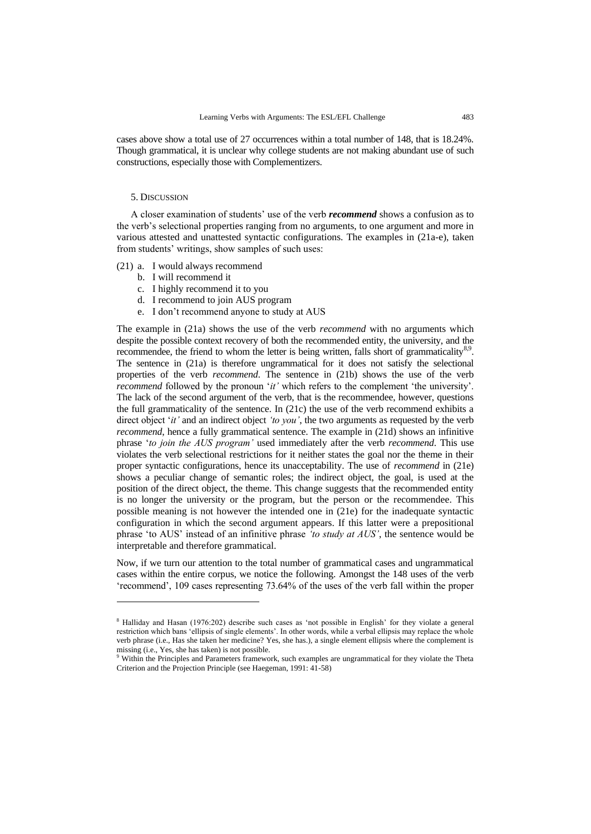cases above show a total use of 27 occurrences within a total number of 148, that is 18.24%. Though grammatical, it is unclear why college students are not making abundant use of such constructions, especially those with Complementizers.

# 5. DISCUSSION

l

A closer examination of students" use of the verb *recommend* shows a confusion as to the verb's selectional properties ranging from no arguments, to one argument and more in various attested and unattested syntactic configurations. The examples in (21a-e), taken from students' writings, show samples of such uses:

- (21) a. I would always recommend
	- b. I will recommend it
	- c. I highly recommend it to you
	- d. I recommend to join AUS program
	- e. I don"t recommend anyone to study at AUS

The example in (21a) shows the use of the verb *recommend* with no arguments which despite the possible context recovery of both the recommended entity, the university, and the recommendee, the friend to whom the letter is being written, falls short of grammaticality<sup>8,9</sup>. The sentence in (21a) is therefore ungrammatical for it does not satisfy the selectional properties of the verb *recommend*. The sentence in (21b) shows the use of the verb *recommend* followed by the pronoun '*it'* which refers to the complement 'the university'. The lack of the second argument of the verb, that is the recommendee, however, questions the full grammaticality of the sentence. In (21c) the use of the verb recommend exhibits a direct object "*it'* and an indirect object *'to you'*, the two arguments as requested by the verb *recommend*, hence a fully grammatical sentence. The example in (21d) shows an infinitive phrase "*to join the AUS program'* used immediately after the verb *recommend*. This use violates the verb selectional restrictions for it neither states the goal nor the theme in their proper syntactic configurations, hence its unacceptability. The use of *recommend* in (21e) shows a peculiar change of semantic roles; the indirect object, the goal, is used at the position of the direct object, the theme. This change suggests that the recommended entity is no longer the university or the program, but the person or the recommendee. This possible meaning is not however the intended one in (21e) for the inadequate syntactic configuration in which the second argument appears. If this latter were a prepositional phrase "to AUS" instead of an infinitive phrase *'to study at AUS'*, the sentence would be interpretable and therefore grammatical.

Now, if we turn our attention to the total number of grammatical cases and ungrammatical cases within the entire corpus, we notice the following. Amongst the 148 uses of the verb "recommend", 109 cases representing 73.64% of the uses of the verb fall within the proper

<sup>8</sup> Halliday and Hasan (1976:202) describe such cases as "not possible in English" for they violate a general restriction which bans "ellipsis of single elements". In other words, while a verbal ellipsis may replace the whole verb phrase (i.e., Has she taken her medicine? Yes, she has.), a single element ellipsis where the complement is missing (i.e., Yes, she has taken) is not possible.

<sup>9</sup> Within the Principles and Parameters framework, such examples are ungrammatical for they violate the Theta Criterion and the Projection Principle (see Haegeman, 1991: 41-58)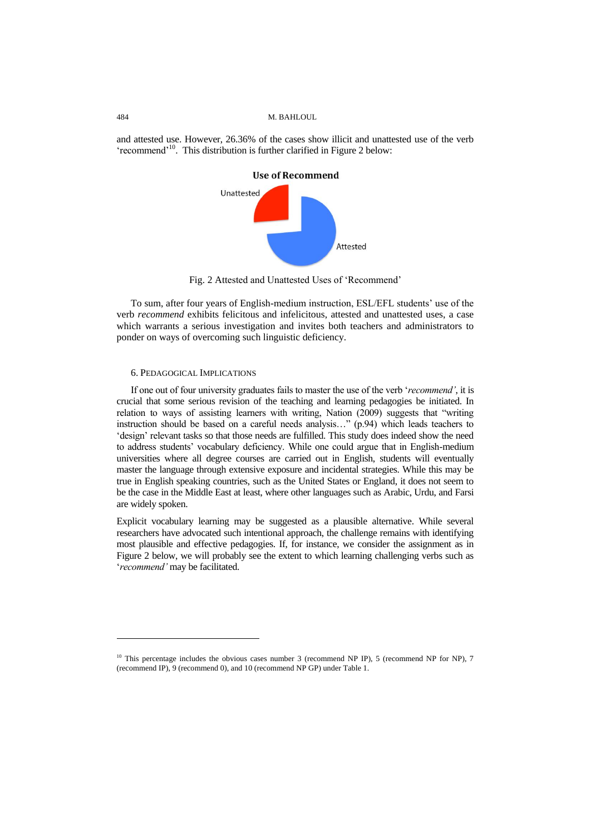and attested use. However, 26.36% of the cases show illicit and unattested use of the verb 'recommend'<sup>10</sup>. This distribution is further clarified in Figure 2 below:



Fig. 2 Attested and Unattested Uses of "Recommend"

To sum, after four years of English-medium instruction, ESL/EFL students' use of the verb *recommend* exhibits felicitous and infelicitous, attested and unattested uses, a case which warrants a serious investigation and invites both teachers and administrators to ponder on ways of overcoming such linguistic deficiency.

# 6. PEDAGOGICAL IMPLICATIONS

If one out of four university graduates fails to master the use of the verb "*recommend'*, it is crucial that some serious revision of the teaching and learning pedagogies be initiated. In relation to ways of assisting learners with writing, Nation (2009) suggests that "writing instruction should be based on a careful needs analysis…" (p.94) which leads teachers to "design" relevant tasks so that those needs are fulfilled. This study does indeed show the need to address students" vocabulary deficiency. While one could argue that in English-medium universities where all degree courses are carried out in English, students will eventually master the language through extensive exposure and incidental strategies. While this may be true in English speaking countries, such as the United States or England, it does not seem to be the case in the Middle East at least, where other languages such as Arabic, Urdu, and Farsi are widely spoken.

Explicit vocabulary learning may be suggested as a plausible alternative. While several researchers have advocated such intentional approach, the challenge remains with identifying most plausible and effective pedagogies. If, for instance, we consider the assignment as in Figure 2 below, we will probably see the extent to which learning challenging verbs such as "*recommend'* may be facilitated.

l

 $10$  This percentage includes the obvious cases number 3 (recommend NP IP), 5 (recommend NP for NP), 7 (recommend IP), 9 (recommend 0), and 10 (recommend NP GP) under Table 1.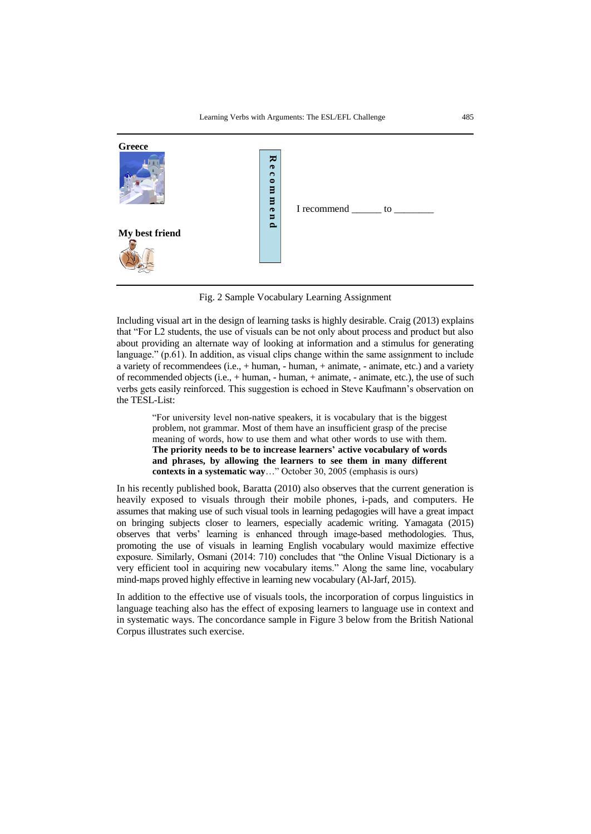

Fig. 2 Sample Vocabulary Learning Assignment

Including visual art in the design of learning tasks is highly desirable. Craig (2013) explains that "For L2 students, the use of visuals can be not only about process and product but also about providing an alternate way of looking at information and a stimulus for generating language." (p.61). In addition, as visual clips change within the same assignment to include a variety of recommendees  $(i.e., + human, - human, + animate, - animate, etc.)$  and a variety of recommended objects  $(i.e., + human, - human, + animate, - animate, etc.),$  the use of such verbs gets easily reinforced. This suggestion is echoed in Steve Kaufmann"s observation on the TESL-List:

"For university level non-native speakers, it is vocabulary that is the biggest problem, not grammar. Most of them have an insufficient grasp of the precise meaning of words, how to use them and what other words to use with them. **The priority needs to be to increase learners' active vocabulary of words and phrases, by allowing the learners to see them in many different contexts in a systematic way**…" October 30, 2005 (emphasis is ours)

In his recently published book, Baratta (2010) also observes that the current generation is heavily exposed to visuals through their mobile phones, i-pads, and computers. He assumes that making use of such visual tools in learning pedagogies will have a great impact on bringing subjects closer to learners, especially academic writing. Yamagata (2015) observes that verbs" learning is enhanced through image-based methodologies. Thus, promoting the use of visuals in learning English vocabulary would maximize effective exposure. Similarly, Osmani (2014: 710) concludes that "the Online Visual Dictionary is a very efficient tool in acquiring new vocabulary items." Along the same line, vocabulary mind-maps proved highly effective in learning new vocabulary (Al-Jarf, 2015).

In addition to the effective use of visuals tools, the incorporation of corpus linguistics in language teaching also has the effect of exposing learners to language use in context and in systematic ways. The concordance sample in Figure 3 below from the British National Corpus illustrates such exercise.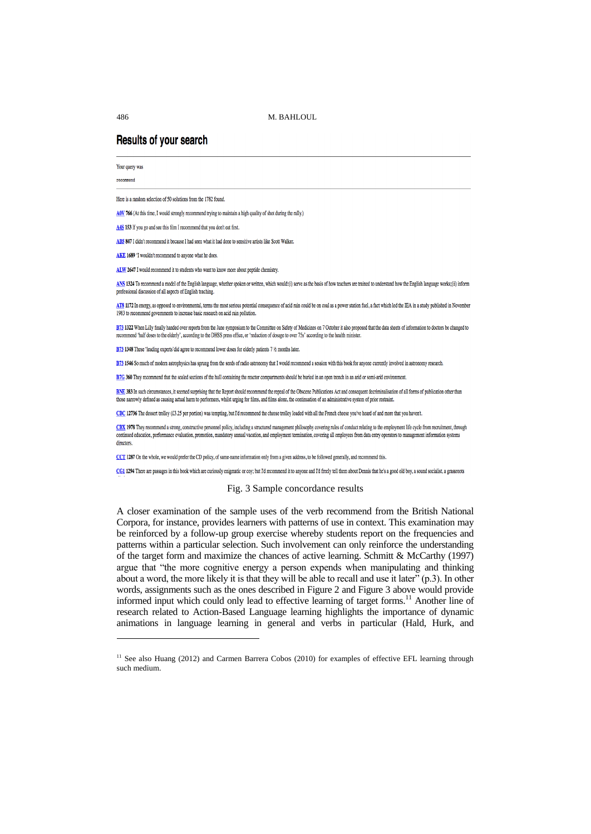# **Results of your search**

Your query was

recommend

l

Here is a random selection of 50 solutions from the 1782 found.

AOV 766 (At this time, I would strongly recommend trying to maintain a high quality of shot during the rally.)

A4S 153 If you go and see this film I recommend that you don't eat first.

AB5 847 I didn't recommend it because I had seen what it had done to sensitive artists like Scott Walker.

AKE 1689 'I wouldn't recommend to anyone what he does

ALW 2647 I would recommend it to students who want to know more about nentide chemistry

ANS 1324 To recommend a model of the English language, whether spoken or written, which would:(i) serve as the basis of how teachers are trained to understand how the English language works;(ii) inform professional discussion of all aspects of English teaching

AT8 1172 In energy, as opposed to environmental, terms the most serious potential consequence of acid rain could be on coal as a power station fuel, a fact which led the IEA in a study published in November 1983 to recommend governments to increase basic research on acid rain pollution.

B73 1322 When Lilly finally handed over reports from the June symposium to the Committee on Safety of Medicines on 7 October it also proposed that the data sheets of information to doctors be changed to recommend 'half doses to the elderly', according to the DHSS press office, or 'reduction of dosage to over 75s' according to the health minister

B73 1348 These 'leading experts' did agree to recommend lower doses for elderly patients 7 1/2 months later

B73 1546 So much of modern astrophysics has sprung from the seeds of radio astronomy that I would recommend a session with this book for anyone currently involved in astronomy research.

B7G 360 They recommend that the sealed sections of the hull containing the reactor compartments should be buried in an open trench in an arid or semi-arid environment.

BNE 383 In such circumstances, it seemed surprising that the Report should recommend the repeal of the Obscene Publications Act and consequent decriminalisation of all forms of publication other than those narrowly defined as causing actual harm to performers, whilst urging for films, and films alone, the continuation of an administrative system of prior restraint.

CBC 12736 The dessert trolley (£3.25 per portion) was tempting, but I'd recommend the cheese trolley loaded with all the French cheese you've heard of and more that you haven't.

CBX 1978 They recommend a strong, constructive personnel policy, including a structured management philosophy covering rules of conduct relating to the employment life cycle from recruitment, through continued education, performance evaluation, promotion, mandatory annual vacation, and employment termination, covering all employees from data entry operators to management information systems directors

CCT 1287 On the whole, we would prefer the CD policy, of same-name information only from a given address, to be followed generally, and recommend this.

CG1 1294 There are passages in this book which are curiously enigmatic or coy; but I'd recommend it to anyone and I'd freely tell them about Dennis that he's a good old boy, a sound socialist, a grassroots

#### Fig. 3 Sample concordance results

A closer examination of the sample uses of the verb recommend from the British National Corpora, for instance, provides learners with patterns of use in context. This examination may be reinforced by a follow-up group exercise whereby students report on the frequencies and patterns within a particular selection. Such involvement can only reinforce the understanding of the target form and maximize the chances of active learning. Schmitt & McCarthy (1997) argue that "the more cognitive energy a person expends when manipulating and thinking about a word, the more likely it is that they will be able to recall and use it later" (p.3). In other words, assignments such as the ones described in Figure 2 and Figure 3 above would provide informed input which could only lead to effective learning of target forms.<sup>11</sup> Another line of research related to Action-Based Language learning highlights the importance of dynamic animations in language learning in general and verbs in particular (Hald, Hurk, and

<sup>&</sup>lt;sup>11</sup> See also Huang (2012) and Carmen Barrera Cobos (2010) for examples of effective EFL learning through such medium.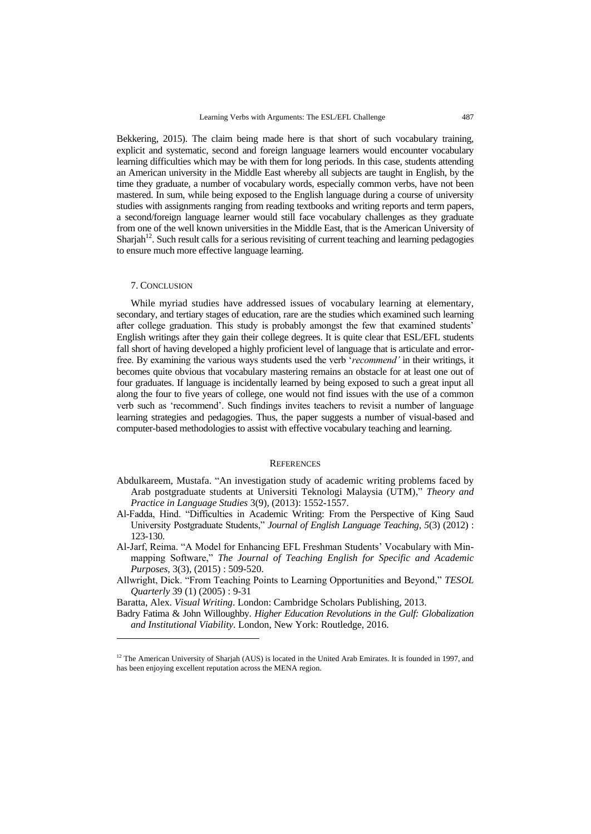Bekkering, 2015). The claim being made here is that short of such vocabulary training, explicit and systematic, second and foreign language learners would encounter vocabulary learning difficulties which may be with them for long periods. In this case, students attending an American university in the Middle East whereby all subjects are taught in English, by the time they graduate, a number of vocabulary words, especially common verbs, have not been mastered. In sum, while being exposed to the English language during a course of university studies with assignments ranging from reading textbooks and writing reports and term papers, a second/foreign language learner would still face vocabulary challenges as they graduate from one of the well known universities in the Middle East, that is the American University of Sharjah<sup>12</sup>. Such result calls for a serious revisiting of current teaching and learning pedagogies to ensure much more effective language learning.

#### 7. CONCLUSION

l

While myriad studies have addressed issues of vocabulary learning at elementary, secondary, and tertiary stages of education, rare are the studies which examined such learning after college graduation. This study is probably amongst the few that examined students" English writings after they gain their college degrees. It is quite clear that ESL/EFL students fall short of having developed a highly proficient level of language that is articulate and errorfree. By examining the various ways students used the verb "*recommend'* in their writings, it becomes quite obvious that vocabulary mastering remains an obstacle for at least one out of four graduates. If language is incidentally learned by being exposed to such a great input all along the four to five years of college, one would not find issues with the use of a common verb such as "recommend". Such findings invites teachers to revisit a number of language learning strategies and pedagogies. Thus, the paper suggests a number of visual-based and computer-based methodologies to assist with effective vocabulary teaching and learning.

#### **REFERENCES**

- Abdulkareem, Mustafa. "An investigation study of academic writing problems faced by Arab postgraduate students at Universiti Teknologi Malaysia (UTM)," *Theory and Practice in Language Studies* 3(9), (2013): 1552-1557.
- Al-Fadda, Hind. "Difficulties in Academic Writing: From the Perspective of King Saud University Postgraduate Students," *Journal of English Language Teaching, 5*(3) (2012) : 123-130.
- Al-Jarf, Reima. "A Model for Enhancing EFL Freshman Students" Vocabulary with Minmapping Software," *The Journal of Teaching English for Specific and Academic Purposes,* 3(3), (2015) : 509-520.
- Allwright, Dick. "From Teaching Points to Learning Opportunities and Beyond," *TESOL Quarterly* 39 (1) (2005) : 9-31

Baratta, Alex. *Visual Writing*. London: Cambridge Scholars Publishing, 2013.

Badry Fatima & John Willoughby. *Higher Education Revolutions in the Gulf: Globalization and Institutional Viability*. London, New York: Routledge, 2016.

<sup>&</sup>lt;sup>12</sup> The American University of Sharjah (AUS) is located in the United Arab Emirates. It is founded in 1997, and has been enjoying excellent reputation across the MENA region.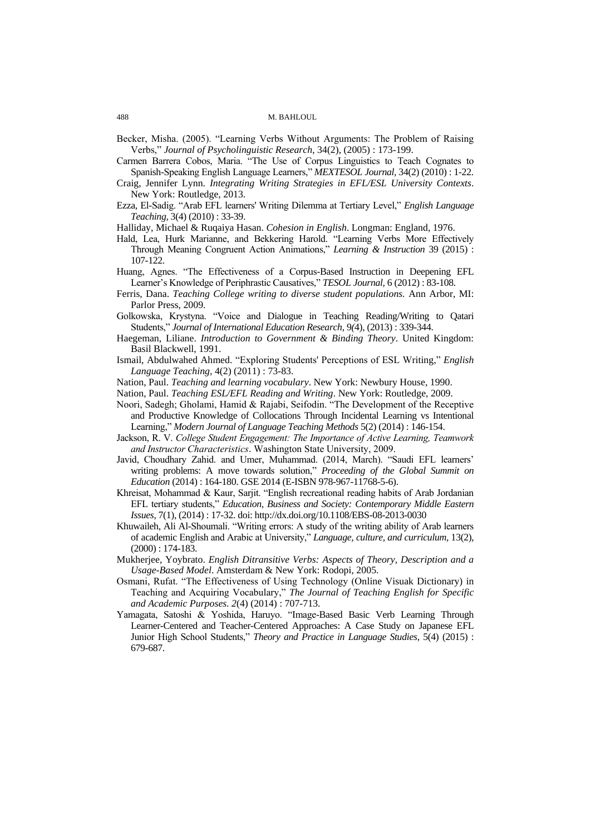Becker, Misha. (2005). "Learning Verbs Without Arguments: The Problem of Raising Verbs," *Journal of Psycholinguistic Research*, 34(2), (2005) : 173-199.

Carmen Barrera Cobos, Maria. "The Use of Corpus Linguistics to Teach Cognates to Spanish-Speaking English Language Learners," *MEXTESOL Journal,* 34(2) (2010) : 1-22.

- Craig, Jennifer Lynn. *Integrating Writing Strategies in EFL/ESL University Contexts*. New York: Routledge, 2013.
- Ezza, El-Sadig. "Arab EFL learners' Writing Dilemma at Tertiary Level," *English Language Teaching,* 3(4) (2010) : 33-39.

Halliday, Michael & Ruqaiya Hasan. *Cohesion in English*. Longman: England, 1976.

- Hald, Lea, Hurk Marianne, and Bekkering Harold. "Learning Verbs More Effectively Through Meaning Congruent Action Animations," *Learning & Instruction* 39 (2015) : 107-122.
- Huang, Agnes. "The Effectiveness of a Corpus-Based Instruction in Deepening EFL Learner"s Knowledge of Periphrastic Causatives," *TESOL Journal,* 6 (2012) : 83-108.
- Ferris, Dana. *Teaching College writing to diverse student populations.* Ann Arbor, MI: Parlor Press, 2009.
- Golkowska, Krystyna. "Voice and Dialogue in Teaching Reading/Writing to Qatari Students," *Journal of International Education Research,* 9*(*4), (2013) : 339-344.
- Haegeman, Liliane. *Introduction to Government & Binding Theory*. United Kingdom: Basil Blackwell, 1991.
- Ismail, Abdulwahed Ahmed. "Exploring Students' Perceptions of ESL Writing," *English Language Teaching,* 4(2) (2011) : 73-83.
- Nation, Paul. *Teaching and learning vocabulary*. New York: Newbury House, 1990.
- Nation, Paul. *Teaching ESL/EFL Reading and Writing*. New York: Routledge, 2009.
- Noori, Sadegh; Gholami, Hamid & Rajabi, Seifodin. "The Development of the Receptive and Productive Knowledge of Collocations Through Incidental Learning vs Intentional Learning," *Modern Journal of Language Teaching Methods* 5(2) (2014) : 146-154.
- Jackson, R. V. *College Student Engagement: The Importance of Active Learning, Teamwork and Instructor Characteristics*. Washington State University, 2009.
- Javid, Choudhary Zahid. and Umer, Muhammad. (2014, March). "Saudi EFL learners" writing problems: A move towards solution," *Proceeding of the Global Summit on Education* (2014) : 164-180. GSE 2014 (E-ISBN 978-967-11768-5-6).
- Khreisat, Mohammad & Kaur, Sarjit. "English recreational reading habits of Arab Jordanian EFL tertiary students," *Education, Business and Society: Contemporary Middle Eastern Issues,* 7(1), (2014) : 17-32. doi: http://dx.doi.org/10.1108/EBS-08-2013-0030
- Khuwaileh, Ali Al-Shoumali. "Writing errors: A study of the writing ability of Arab learners of academic English and Arabic at University," *Language, culture, and curriculum,* 13(2), (2000) : 174-183.
- Mukherjee, Yoybrato. *English Ditransitive Verbs: Aspects of Theory, Description and a Usage-Based Model*. Amsterdam & New York: Rodopi, 2005.
- Osmani, Rufat. "The Effectiveness of Using Technology (Online Visuak Dictionary) in Teaching and Acquiring Vocabulary," *The Journal of Teaching English for Specific and Academic Purposes. 2*(4) (2014) : 707-713.
- Yamagata, Satoshi & Yoshida, Haruyo. "Image-Based Basic Verb Learning Through Learner-Centered and Teacher-Centered Approaches: A Case Study on Japanese EFL Junior High School Students," *Theory and Practice in Language Studies*, 5(4) (2015) : 679-687.